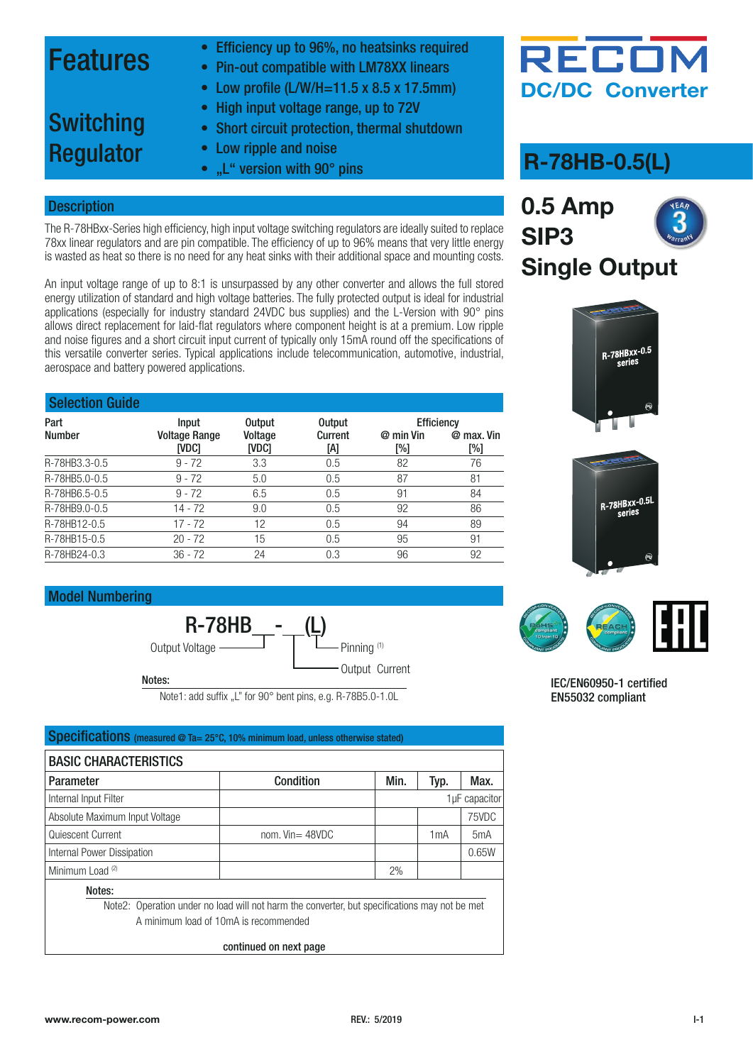### Features

- Efficiency up to 96%, no heatsinks required
- Pin-out compatible with LM78XX linears
- Low profile  $(L/W/H=11.5 \times 8.5 \times 17.5 \text{mm})$
- High input voltage range, up to 72V
- Short circuit protection, thermal shutdown

### Switching **Regulator**

- Low ripple and noise
	-

#### **Description**

The R-78HBxx-Series high efficiency, high input voltage switching regulators are ideally suited to replace 78xx linear regulators and are pin compatible. The efficiency of up to 96% means that very little energy is wasted as heat so there is no need for any heat sinks with their additional space and mounting costs.

An input voltage range of up to 8:1 is unsurpassed by any other converter and allows the full stored energy utilization of standard and high voltage batteries. The fully protected output is ideal for industrial applications (especially for industry standard 24VDC bus supplies) and the L-Version with 90° pins allows direct replacement for laid-flat regulators where component height is at a premium. Low ripple and noise figures and a short circuit input current of typically only 15mA round off the specifications of this versatile converter series. Typical applications include telecommunication, automotive, industrial, aerospace and battery powered applications.

| <b>Selection Guide</b> |                                               |                                   |                                 |                  |                                        |  |
|------------------------|-----------------------------------------------|-----------------------------------|---------------------------------|------------------|----------------------------------------|--|
| Part<br><b>Number</b>  | Input<br><b>Voltage Range</b><br><b>IVDC1</b> | <b>Output</b><br>Voltage<br>[VDC] | <b>Output</b><br>Current<br>[A] | @ min Vin<br>[%] | <b>Efficiency</b><br>@ max. Vin<br>[%] |  |
| R-78HB3.3-0.5          | $9 - 72$                                      | 3.3                               | 0.5                             | 82               | 76                                     |  |
| R-78HB5.0-0.5          | $9 - 72$                                      | 5.0                               | 0.5                             | 87               | 81                                     |  |
| R-78HB6.5-0.5          | $9 - 72$                                      | 6.5                               | 0.5                             | 91               | 84                                     |  |
| R-78HB9.0-0.5          | 14 - 72                                       | 9.0                               | 0.5                             | 92               | 86                                     |  |
| R-78HB12-0.5           | 17 - 72                                       | 12                                | 0.5                             | 94               | 89                                     |  |
| R-78HB15-0.5           | $20 - 72$                                     | 15                                | 0.5                             | 95               | 91                                     |  |
| R-78HB24-0.3           | $36 - 72$                                     | 24                                | 0.3                             | 96               | 92                                     |  |

#### Model Numbering



Note1: add suffix "L" for 90° bent pins, e.g. R-78B5.0-1.0L

| Specifications (measured @ Ta= 25°C, 10% minimum load, unless otherwise stated)<br><b>BASIC CHARACTERISTICS</b> |                    |    |                  |               |  |  |  |
|-----------------------------------------------------------------------------------------------------------------|--------------------|----|------------------|---------------|--|--|--|
|                                                                                                                 |                    |    |                  |               |  |  |  |
| Internal Input Filter                                                                                           |                    |    |                  | 1µF capacitor |  |  |  |
| Absolute Maximum Input Voltage                                                                                  |                    |    |                  | 75VDC         |  |  |  |
| Quiescent Current                                                                                               | nom. $Vin = 48VDC$ |    | 1 <sub>m</sub> A | 5mA           |  |  |  |
| Internal Power Dissipation                                                                                      |                    |    |                  | 0.65W         |  |  |  |
| Minimum Load <sup>(2)</sup>                                                                                     |                    | 2% |                  |               |  |  |  |
|                                                                                                                 |                    |    |                  |               |  |  |  |

#### Notes:

Note2: Operation under no load will not harm the converter, but specifications may not be met A minimum load of 10mA is recommended

continued on next page



### • "L" version with 90° pins **R-78HB-0.5(L)**









IEC/EN60950-1 certified EN55032 compliant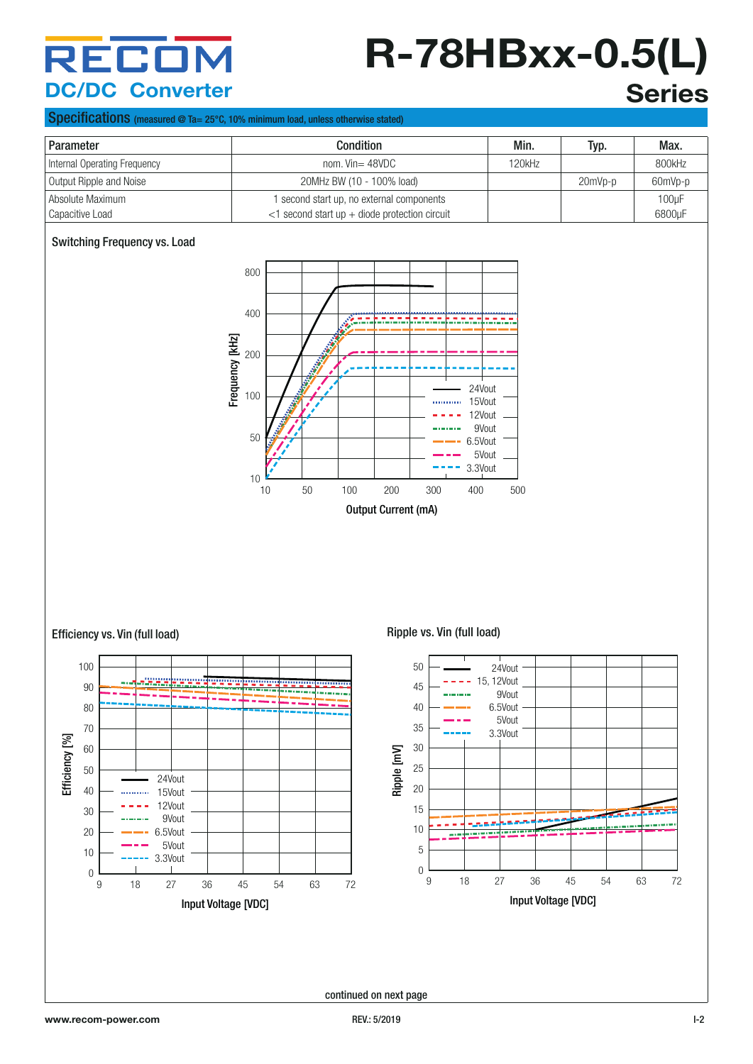# **R-78HBxx-0.5(L) Series**

#### Specifications (measured @ Ta= 25°C, 10% minimum load, unless otherwise stated)

| Parameter                    | <b>Condition</b>                                 | Min.   | Typ.      | Max.     |
|------------------------------|--------------------------------------------------|--------|-----------|----------|
| Internal Operating Frequency | nom. $Vin = 48VDC$                               | 120kHz |           | 800kHz   |
| Output Ripple and Noise      | 20MHz BW (10 - 100% load)                        |        | $20mVp-p$ | 60mVp-p  |
| Absolute Maximum             | I second start up, no external components        |        |           | $100$ uF |
| Capacitive Load              | $<$ 1 second start up + diode protection circuit |        |           | 6800uF   |

#### Switching Frequency vs. Load



Ripple vs. Vin (full load)

Efficiency vs. Vin (full load)

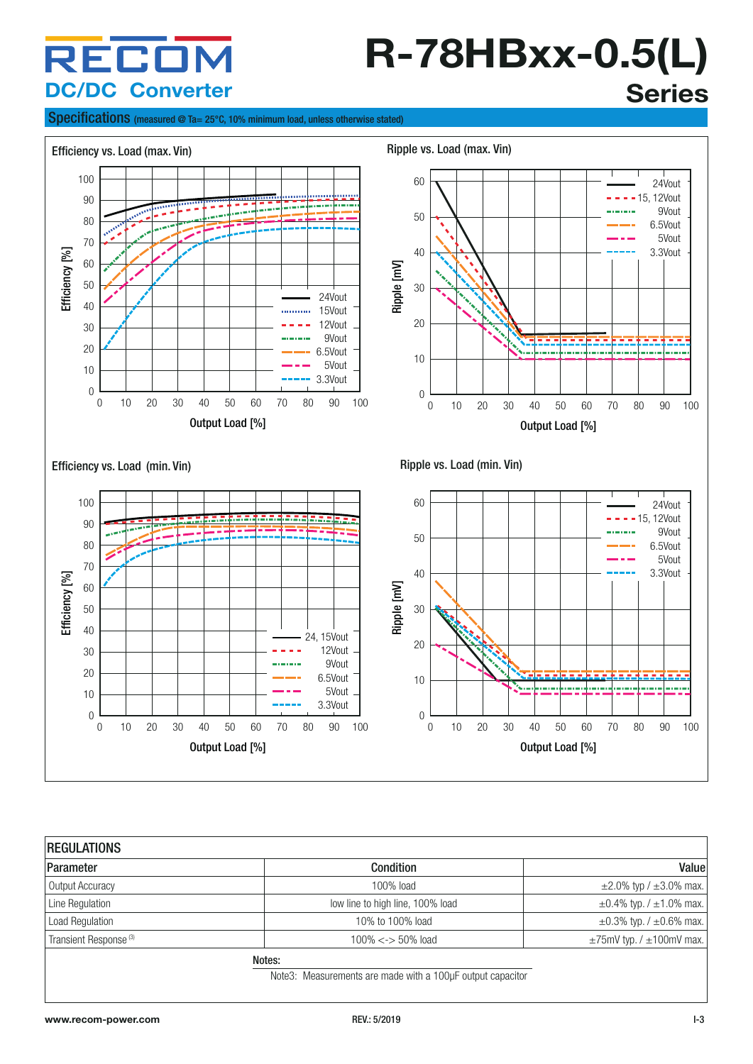# **R-78HBxx-0.5(L) Series**

#### Specifications (measured @ Ta= 25°C, 10% minimum load, unless otherwise stated)



| <b>REGULATIONS</b>                |                                                                      |                                     |
|-----------------------------------|----------------------------------------------------------------------|-------------------------------------|
| Parameter                         | <b>Condition</b>                                                     | Value                               |
| Output Accuracy                   | 100% load                                                            | $\pm 2.0\%$ typ / $\pm 3.0\%$ max.  |
| Line Regulation                   | low line to high line, 100% load                                     | $\pm 0.4\%$ typ. / $\pm 1.0\%$ max. |
| Load Regulation                   | 10% to 100% load                                                     | $\pm 0.3\%$ typ. / $\pm 0.6\%$ max. |
| Transient Response <sup>(3)</sup> | $100\% < \geq 50\%$ load                                             | $\pm$ 75mV typ. / $\pm$ 100mV max.  |
|                                   | Notes:<br>Note3: Measurements are made with a 100µF output capacitor |                                     |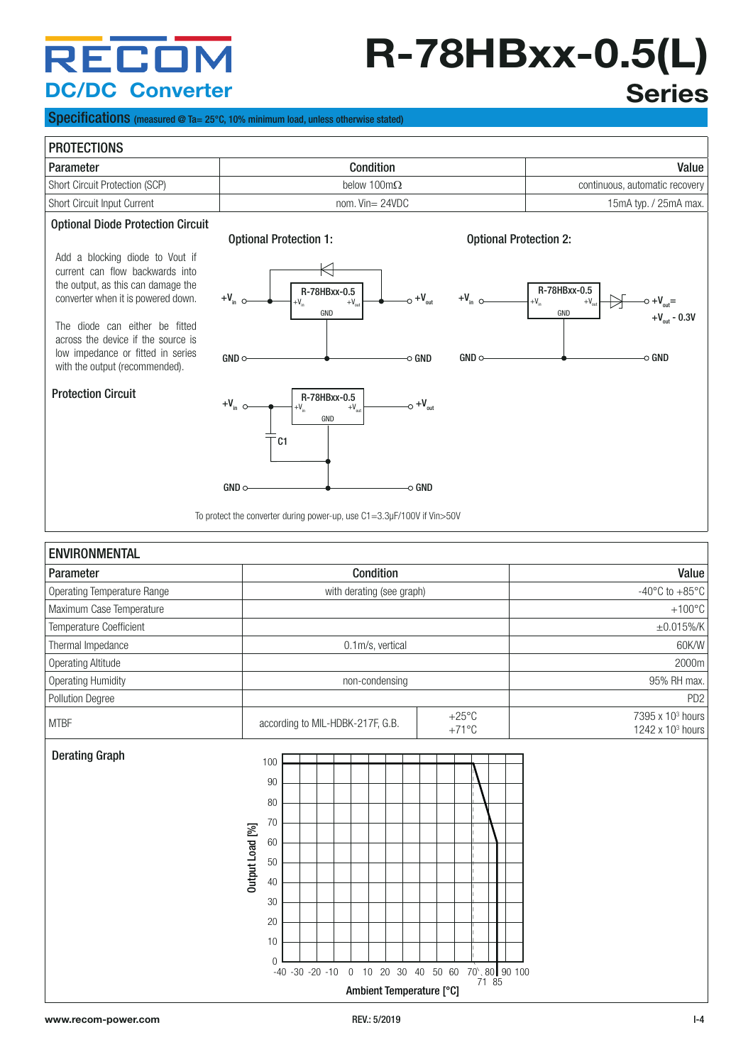## **R-78HBxx-0.5(L) Series**

#### Specifications (measured @ Ta= 25°C, 10% minimum load, unless otherwise stated)



To protect the converter during power-up, use C1=3.3µF/100V if Vin>50V

#### ENVIRONMENTAL Parameter Condition Value Operating Temperature Range and the state of the state with derating (see graph)  $-40^{\circ}$ C to +85°C to +85°C Maximum Case Temperature  $+100^{\circ}$ C Temperature Coefficient  $\pm 0.015\%$ /K Thermal Impedance and the control of the control of the control of the control of the control of the control of the control of the control of the control of the control of the control of the control of the control of the c Operating Altitude 2000m Operating Humidity **95% RH** max. The condensing proportion of the condensing 95% RH max. Pollution Degree PD2 MTBF  $\begin{array}{c|c|c|c|c|c} \text{MTEF} & & +25^{\circ}\text{C} & & +25^{\circ}\text{C} \end{array}$ 7395 x 103 hours  $+71^{\circ}$ C 1242 x 103 hours Derating Graph 100 90 80 70 Output Load [%] Output Load [%] 60 50 40 30 20 10 0<br> $-40 -30 -20 -10$  $-40 -30 -20 -10$  0 10 20 30 40 50 60 70\80 90 100 71 85 Ambient Temperature [°C]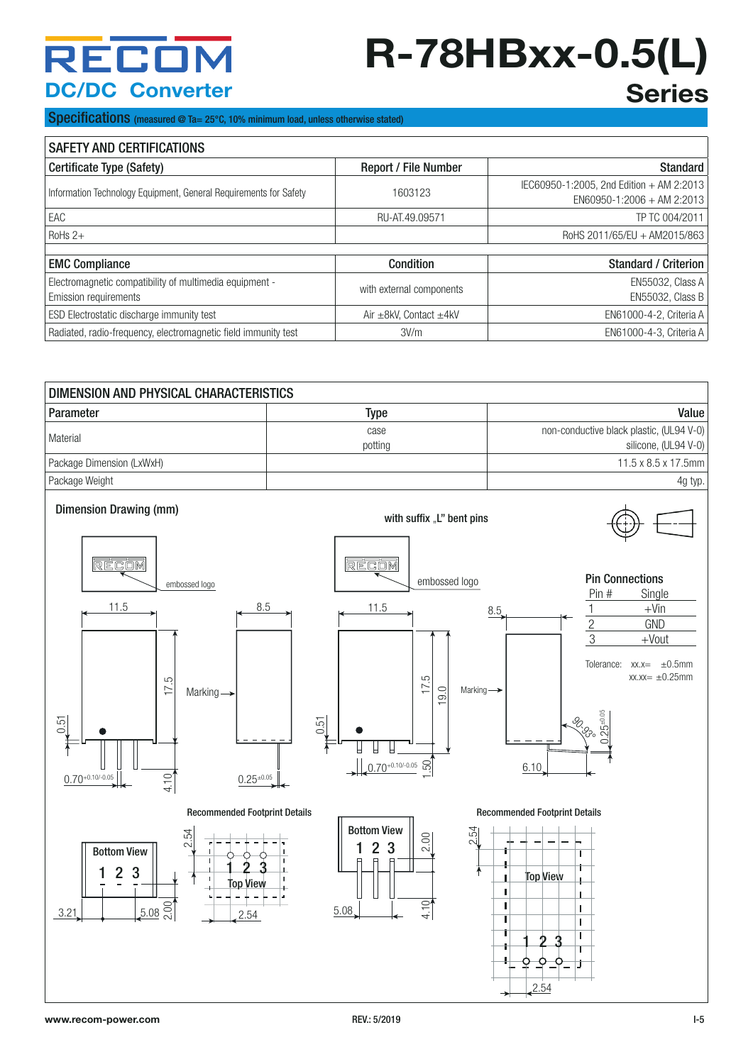# **R-78HBxx-0.5(L) Series**

Specifications (measured @ Ta= 25°C, 10% minimum load, unless otherwise stated)

| <b>SAFETY AND CERTIFICATIONS</b>                                                        |                                  |                                                                         |  |  |  |  |
|-----------------------------------------------------------------------------------------|----------------------------------|-------------------------------------------------------------------------|--|--|--|--|
| Certificate Type (Safety)                                                               | <b>Report / File Number</b>      | <b>Standard</b>                                                         |  |  |  |  |
| Information Technology Equipment, General Requirements for Safety                       | 1603123                          | IEC60950-1:2005, 2nd Edition + AM 2:2013<br>$EN60950-1:2006 + AM2:2013$ |  |  |  |  |
| EAC                                                                                     | RU-AT.49.09571                   | TP TC 004/2011                                                          |  |  |  |  |
| $RoHs 2+$                                                                               |                                  | RoHS 2011/65/EU + AM2015/863                                            |  |  |  |  |
|                                                                                         |                                  |                                                                         |  |  |  |  |
| <b>EMC Compliance</b>                                                                   | Condition                        | Standard / Criterion                                                    |  |  |  |  |
| Electromagnetic compatibility of multimedia equipment -<br><b>Emission requirements</b> | with external components         | EN55032, Class A<br>EN55032, Class B                                    |  |  |  |  |
| <b>ESD Electrostatic discharge immunity test</b>                                        | Air $\pm$ 8kV, Contact $\pm$ 4kV | EN61000-4-2, Criteria A                                                 |  |  |  |  |
| Radiated, radio-frequency, electromagnetic field immunity test                          | 3V/m                             | EN61000-4-3, Criteria A                                                 |  |  |  |  |

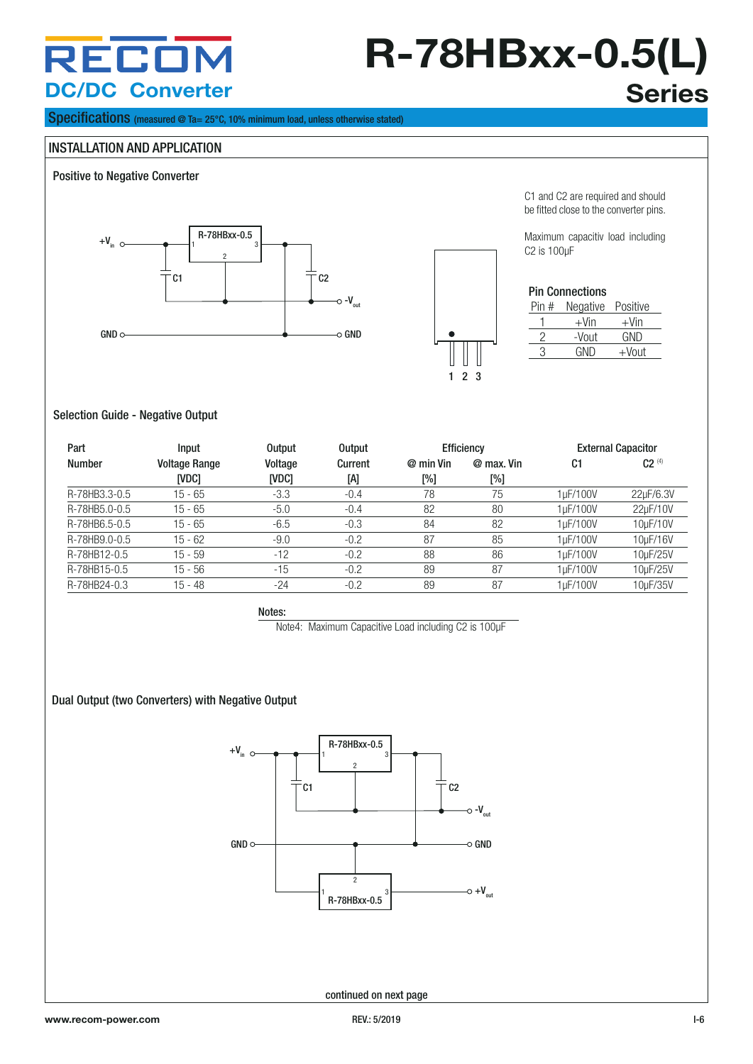## **R-78HBxx-0.5(L) Series**

Specifications (measured @ Ta= 25°C, 10% minimum load, unless otherwise stated)

#### INSTALLATION AND APPLICATION

#### Positive to Negative Converter



C1 and C2 are required and should be fitted close to the converter pins.

Maximum capacitiv load including C2 is 100µF

#### Pin Connections

| Pin # | Negative | Positive |  |
|-------|----------|----------|--|
|       | $+$ Vin  | $+$ Vin  |  |
| 2     | -Vout    | GND      |  |
| З     | GND      | $+$ Vout |  |
|       |          |          |  |

#### Selection Guide - Negative Output

| Part          | Input                | <b>Output</b> | <b>Output</b> |           | Efficiency |          | <b>External Capacitor</b> |
|---------------|----------------------|---------------|---------------|-----------|------------|----------|---------------------------|
| Number        | <b>Voltage Range</b> | Voltage       | Current       | @ min Vin | @ max. Vin | C1       | $C2^{(4)}$                |
|               | <b>IVDC1</b>         | <b>IVDC1</b>  | [A]           | [%]       | [%]        |          |                           |
| R-78HB3.3-0.5 | 15 - 65              | $-3.3$        | $-0.4$        | 78        | 75         | 1uF/100V | 22µF/6.3V                 |
| R-78HB5.0-0.5 | 15 - 65              | $-5.0$        | $-0.4$        | 82        | 80         | 1uF/100V | 22µF/10V                  |
| R-78HB6.5-0.5 | 15 - 65              | $-6.5$        | $-0.3$        | 84        | 82         | 1uF/100V | 10µF/10V                  |
| R-78HB9.0-0.5 | $15 - 62$            | $-9.0$        | $-0.2$        | 87        | 85         | 1uF/100V | 10uF/16V                  |
| R-78HB12-0.5  | $15 - 59$            | $-12$         | $-0.2$        | 88        | 86         | 1uF/100V | 10uF/25V                  |
| R-78HB15-0.5  | $15 - 56$            | $-15$         | $-0.2$        | 89        | 87         | 1uF/100V | 10uF/25V                  |
| R-78HB24-0.3  | 15 - 48              | -24           | $-0.2$        | 89        | 87         | 1uF/100V | 10uF/35V                  |

1 2 3

Notes:

Note4: Maximum Capacitive Load including C2 is 100µF

#### Dual Output (two Converters) with Negative Output



continued on next page